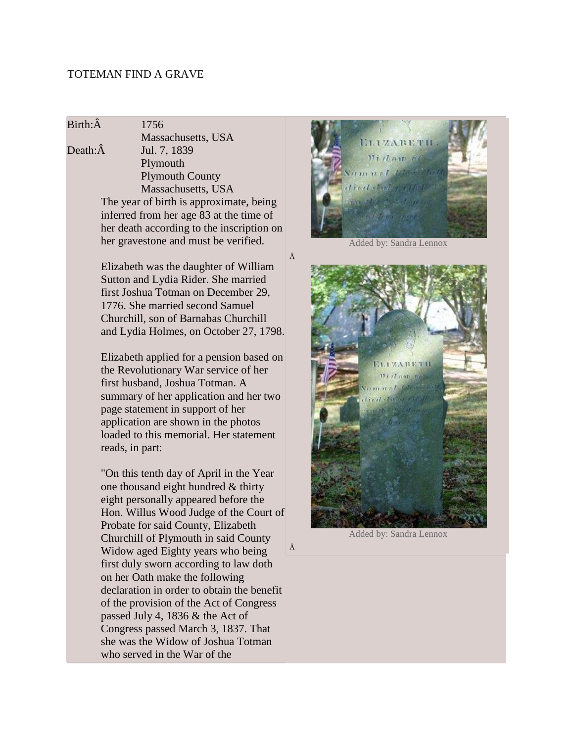## TOTEMAN FIND A GRAVE

Birth: $\hat{A}$  1756

Massachusetts, USA Death:Â Jul. 7, 1839 Plymouth Plymouth County Massachusetts, USA The year of birth is approximate, being inferred from her age 83 at the time of her death according to the inscription on her gravestone and must be verified.

> Elizabeth was the daughter of William Sutton and Lydia Rider. She married first Joshua Totman on December 29, 1776. She married second Samuel Churchill, son of Barnabas Churchill and Lydia Holmes, on October 27, 1798.

Â

Â

Elizabeth applied for a pension based on the Revolutionary War service of her first husband, Joshua Totman. A summary of her application and her two page statement in support of her application are shown in the photos loaded to this memorial. Her statement reads, in part:

"On this tenth day of April in the Year one thousand eight hundred & thirty eight personally appeared before the Hon. Willus Wood Judge of the Court of Probate for said County, Elizabeth Churchill of Plymouth in said County Widow aged Eighty years who being first duly sworn according to law doth on her Oath make the following declaration in order to obtain the benefit of the provision of the Act of Congress passed July 4, 1836 & the Act of Congress passed March 3, 1837. That she was the Widow of Joshua Totman who served in the War of the



Added by[: Sandra Lennox](http://findagrave.com/cgi-bin/fg.cgi?page=mr&GSln=churchill&GSfn=elizabeth&GSbyrel=all&GSdyrel=all&GSst=21&GScntry=4&GSob=n&GRid=94727855&MRid=47383634&df=all&)



Added by[: Sandra Lennox](http://findagrave.com/cgi-bin/fg.cgi?page=mr&GSln=churchill&GSfn=elizabeth&GSbyrel=all&GSdyrel=all&GSst=21&GScntry=4&GSob=n&GRid=94727855&MRid=47383634&df=all&)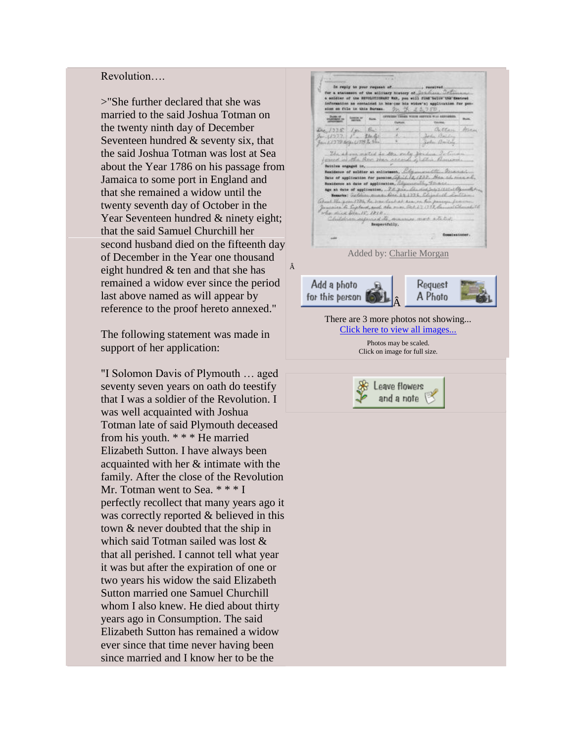## Revolution….

>"She further declared that she was married to the said Joshua Totman on the twenty ninth day of December Seventeen hundred & seventy six, that the said Joshua Totman was lost at Sea about the Year 1786 on his passage from Jamaica to some port in England and that she remained a widow until the twenty seventh day of October in the Year Seventeen hundred & ninety eight; that the said Samuel Churchill her second husband died on the fifteenth day of December in the Year one thousand eight hundred & ten and that she has remained a widow ever since the period last above named as will appear by reference to the proof hereto annexed."

The following statement was made in support of her application:

"I Solomon Davis of Plymouth … aged seventy seven years on oath do teestify that I was a soldier of the Revolution. I was well acquainted with Joshua Totman late of said Plymouth deceased from his youth. \* \* \* He married Elizabeth Sutton. I have always been acquainted with her & intimate with the family. After the close of the Revolution Mr. Totman went to Sea. \* \* \* I perfectly recollect that many years ago it was correctly reported & believed in this town & never doubted that the ship in which said Totman sailed was lost & that all perished. I cannot tell what year it was but after the expiration of one or two years his widow the said Elizabeth Sutton married one Samuel Churchill whom I also knew. He died about thirty years ago in Consumption. The said Elizabeth Sutton has remained a widow ever since that time never having been since married and I know her to be the

In reply to your request of. for a statement of the military history of Schedule Co In his (or his vides's) appli information as contained<br>size on file in this Bure **RESERVE BANK**  $(1225)$   $(9 - 5)$ Bitton Arras  $25$  $117778844.177920$ John Bailey The above moted to the only forder 1 m. Burn fassion engaged in.... with me Residence of soldier at enlistened, ... Sake of application for per Ula 1838, Har al Bunnderse at date of application, age at date of application, 22 p. **Wed Search Harts** of the point ? Oh, he was looked are on his istes back at association pass<br>up ada man blot 27, 1798, bu aire de Captant, and<br>direct Dec. 15, 1810 and to as more attains medicine ago Bespectfully. Added by: [Charlie Morgan](http://findagrave.com/cgi-bin/fg.cgi?page=mr&GSln=churchill&GSfn=elizabeth&GSbyrel=all&GSdyrel=all&GSst=21&GScntry=4&GSob=n&GRid=94727855&MRid=47142894&df=all&) Â Add a photo Request A Photo for this person Â There are 3 more photos not showing... [Click here to view all images...](http://findagrave.com/cgi-bin/fg.cgi?page=pv&GRid=94727855) Photos may be scaled. Click on image for full size.Leave flowers and a note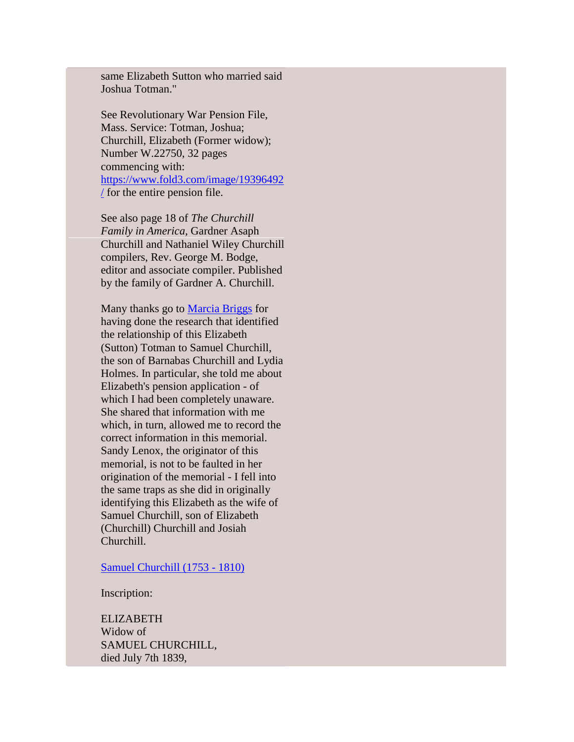same Elizabeth Sutton who married said Joshua Totman."

See Revolutionary War Pension File, Mass. Service: Totman, Joshua; Churchill, Elizabeth (Former widow); Number W.22750, 32 pages commencing with: [https://www.fold3.com/image/19396492](https://www.fold3.com/image/19396492/) [/](https://www.fold3.com/image/19396492/) for the entire pension file.

See also page 18 of *The Churchill Family in America*, Gardner Asaph Churchill and Nathaniel Wiley Churchill compilers, Rev. George M. Bodge, editor and associate compiler. Published by the family of Gardner A. Churchill.

Many thanks go to [Marcia Briggs](http://www.findagrave.com/cgi-bin/fg.cgi?page=mr&MRid=47831071) for having done the research that identified the relationship of this Elizabeth (Sutton) Totman to Samuel Churchill, the son of Barnabas Churchill and Lydia Holmes. In particular, she told me about Elizabeth's pension application - of which I had been completely unaware. She shared that information with me which, in turn, allowed me to record the correct information in this memorial. Sandy Lenox, the originator of this memorial, is not to be faulted in her origination of the memorial - I fell into the same traps as she did in originally identifying this Elizabeth as the wife of Samuel Churchill, son of Elizabeth (Churchill) Churchill and Josiah Churchill.

[Samuel Churchill \(1753 -](http://findagrave.com/cgi-bin/fg.cgi?page=gr&GRid=94727192) 1810)

Inscription:

ELIZABETH Widow of SAMUEL CHURCHILL, died July 7th 1839,